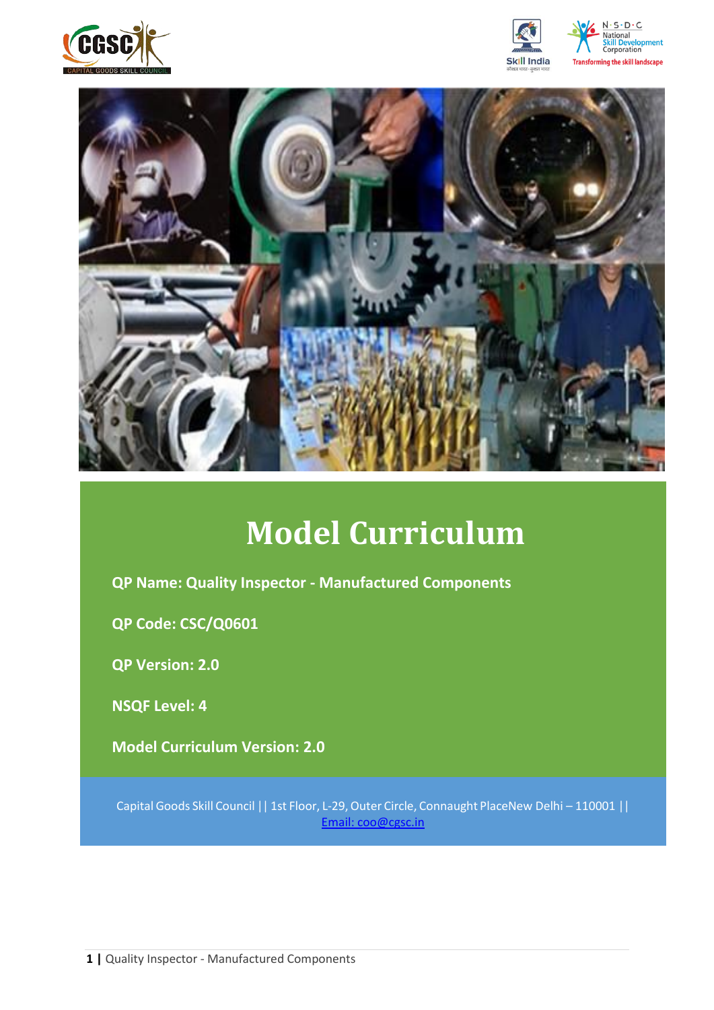







# **Model Curriculum**

**QP Name: Quality Inspector - Manufactured Components**

**QP Code: CSC/Q0601**

**QP Version: 2.0**

**NSQF Level: 4**

**Model Curriculum Version: 2.0** 

Capital Goods Skill Council || 1st Floor, L-29,Outer Circle, Connaught PlaceNew Delhi – 110001 || Email: [coo@cgsc.in](mailto:Email:%20coo@cgsc.in)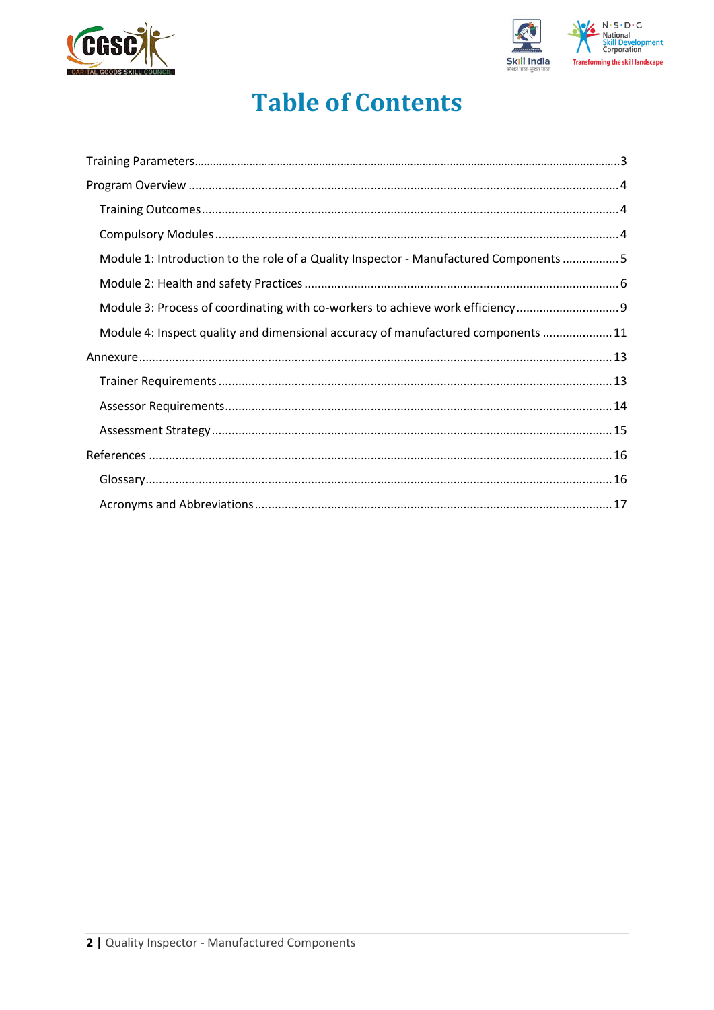



# **Table of Contents**

| Module 1: Introduction to the role of a Quality Inspector - Manufactured Components 5 |  |
|---------------------------------------------------------------------------------------|--|
|                                                                                       |  |
| Module 3: Process of coordinating with co-workers to achieve work efficiency          |  |
| Module 4: Inspect quality and dimensional accuracy of manufactured components 11      |  |
|                                                                                       |  |
|                                                                                       |  |
|                                                                                       |  |
|                                                                                       |  |
|                                                                                       |  |
|                                                                                       |  |
|                                                                                       |  |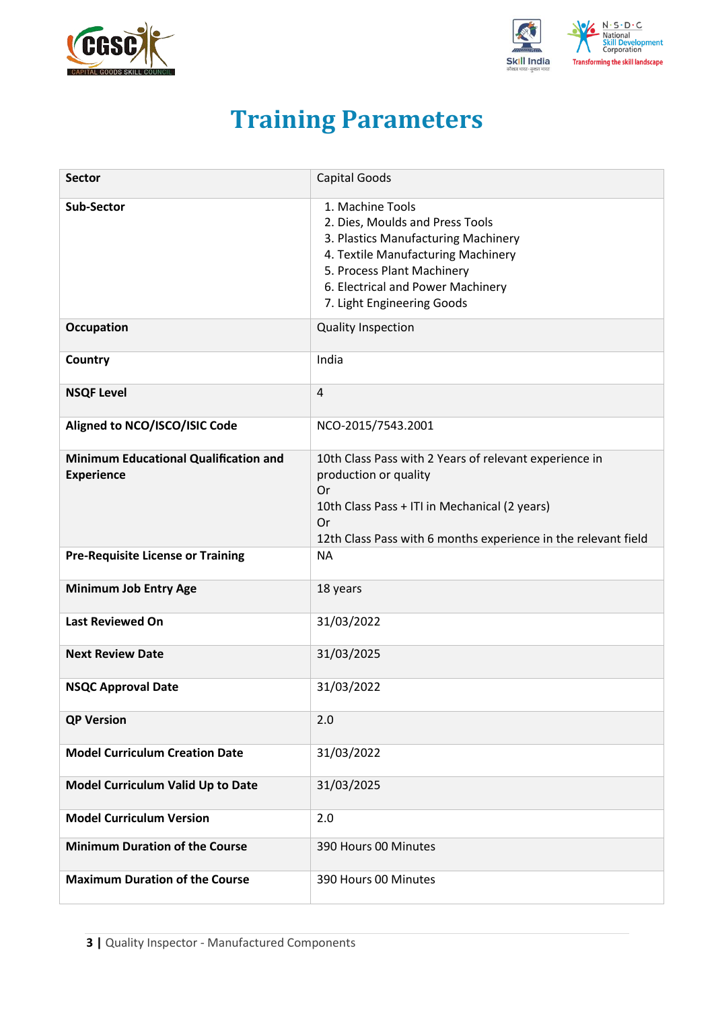<span id="page-2-0"></span>



# **Training Parameters**

| <b>Sector</b>                                                     | Capital Goods                                                                                                                                                                                                                     |
|-------------------------------------------------------------------|-----------------------------------------------------------------------------------------------------------------------------------------------------------------------------------------------------------------------------------|
| <b>Sub-Sector</b>                                                 | 1. Machine Tools<br>2. Dies, Moulds and Press Tools<br>3. Plastics Manufacturing Machinery<br>4. Textile Manufacturing Machinery<br>5. Process Plant Machinery<br>6. Electrical and Power Machinery<br>7. Light Engineering Goods |
| <b>Occupation</b>                                                 | <b>Quality Inspection</b>                                                                                                                                                                                                         |
| Country                                                           | India                                                                                                                                                                                                                             |
| <b>NSQF Level</b>                                                 | 4                                                                                                                                                                                                                                 |
| Aligned to NCO/ISCO/ISIC Code                                     | NCO-2015/7543.2001                                                                                                                                                                                                                |
| <b>Minimum Educational Qualification and</b><br><b>Experience</b> | 10th Class Pass with 2 Years of relevant experience in<br>production or quality<br>Or<br>10th Class Pass + ITI in Mechanical (2 years)<br>Or<br>12th Class Pass with 6 months experience in the relevant field                    |
| <b>Pre-Requisite License or Training</b>                          | <b>NA</b>                                                                                                                                                                                                                         |
| <b>Minimum Job Entry Age</b>                                      | 18 years                                                                                                                                                                                                                          |
| <b>Last Reviewed On</b>                                           | 31/03/2022                                                                                                                                                                                                                        |
| <b>Next Review Date</b>                                           | 31/03/2025                                                                                                                                                                                                                        |
| <b>NSQC Approval Date</b>                                         | 31/03/2022                                                                                                                                                                                                                        |
| <b>QP Version</b>                                                 | 2.0                                                                                                                                                                                                                               |
| <b>Model Curriculum Creation Date</b>                             | 31/03/2022                                                                                                                                                                                                                        |
| Model Curriculum Valid Up to Date                                 | 31/03/2025                                                                                                                                                                                                                        |
| <b>Model Curriculum Version</b>                                   | 2.0                                                                                                                                                                                                                               |
| <b>Minimum Duration of the Course</b>                             | 390 Hours 00 Minutes                                                                                                                                                                                                              |
| <b>Maximum Duration of the Course</b>                             | 390 Hours 00 Minutes                                                                                                                                                                                                              |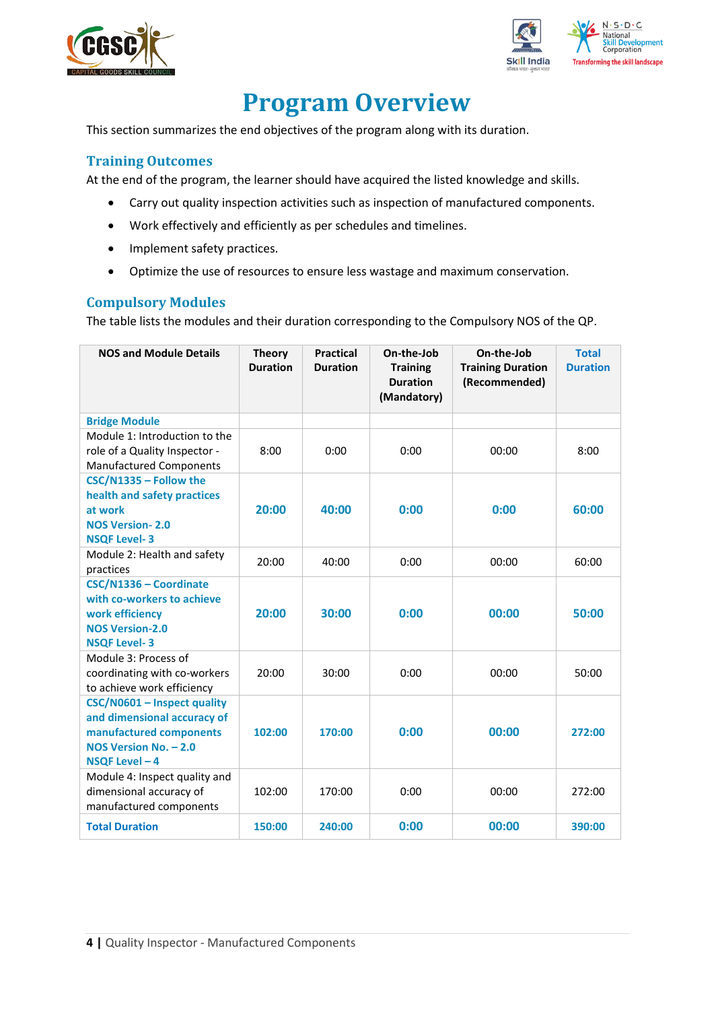



# **Program Overview**

<span id="page-3-0"></span>This section summarizes the end objectives of the program along with its duration.

### <span id="page-3-1"></span>**Training Outcomes**

<span id="page-3-2"></span>At the end of the program, the learner should have acquired the listed knowledge and skills.

- Carry out quality inspection activities such as inspection of manufactured components.
- Work effectively and efficiently as per schedules and timelines.
- Implement safety practices.
- Optimize the use of resources to ensure less wastage and maximum conservation.

### **Compulsory Modules**

The table lists the modules and their duration corresponding to the Compulsory NOS of the QP.

| <b>NOS and Module Details</b>                                                                                                    | <b>Theory</b><br><b>Duration</b> | <b>Practical</b><br><b>Duration</b> | On-the-Job<br><b>Training</b><br><b>Duration</b><br>(Mandatory) | On-the-Job<br><b>Training Duration</b><br>(Recommended) | <b>Total</b><br><b>Duration</b> |
|----------------------------------------------------------------------------------------------------------------------------------|----------------------------------|-------------------------------------|-----------------------------------------------------------------|---------------------------------------------------------|---------------------------------|
| <b>Bridge Module</b>                                                                                                             |                                  |                                     |                                                                 |                                                         |                                 |
| Module 1: Introduction to the<br>role of a Quality Inspector -<br><b>Manufactured Components</b>                                 | 8:00                             | 0:00                                | 0:00                                                            | 00:00                                                   | 8:00                            |
| CSC/N1335 - Follow the<br>health and safety practices<br>at work<br><b>NOS Version-2.0</b><br><b>NSQF Level-3</b>                | 20:00                            | 40:00                               | 0:00                                                            | 0:00                                                    | 60:00                           |
| Module 2: Health and safety<br>practices                                                                                         | 20:00                            | 40:00                               | 0:00                                                            | 00:00                                                   | 60:00                           |
| CSC/N1336 - Coordinate<br>with co-workers to achieve<br>work efficiency<br><b>NOS Version-2.0</b><br><b>NSQF Level-3</b>         | 20:00                            | 30:00                               | 0:00                                                            | 00:00                                                   | 50:00                           |
| Module 3: Process of<br>coordinating with co-workers<br>to achieve work efficiency                                               | 20:00                            | 30:00                               | 0:00                                                            | 00:00                                                   | 50:00                           |
| CSC/N0601 - Inspect quality<br>and dimensional accuracy of<br>manufactured components<br>NOS Version No. - 2.0<br>NSQF Level - 4 | 102:00                           | 170:00                              | 0:00                                                            | 00:00                                                   | 272:00                          |
| Module 4: Inspect quality and<br>dimensional accuracy of<br>manufactured components                                              | 102:00                           | 170:00                              | 0:00                                                            | 00:00                                                   | 272:00                          |
| <b>Total Duration</b>                                                                                                            | 150:00                           | 240:00                              | 0:00                                                            | 00:00                                                   | 390:00                          |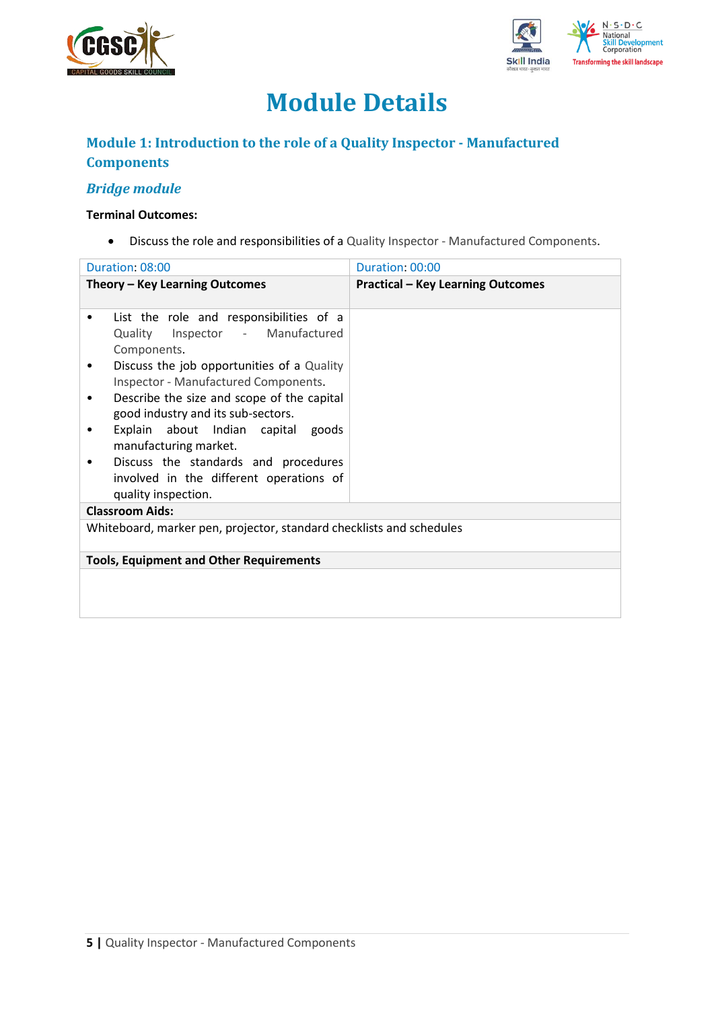



# **Module Details**

### **Module 1: Introduction to the role of a Quality Inspector - Manufactured Components**

### *Bridge module*

### **Terminal Outcomes:**

• Discuss the role and responsibilities of a Quality Inspector - Manufactured Components.

| Duration: 08:00                                                                                                                                                                                                                                                                                                                                                                                                                                                           | Duration: 00:00                          |
|---------------------------------------------------------------------------------------------------------------------------------------------------------------------------------------------------------------------------------------------------------------------------------------------------------------------------------------------------------------------------------------------------------------------------------------------------------------------------|------------------------------------------|
| Theory - Key Learning Outcomes                                                                                                                                                                                                                                                                                                                                                                                                                                            | <b>Practical - Key Learning Outcomes</b> |
| List the role and responsibilities of a<br>٠<br>Quality<br>Inspector - Manufactured<br>Components.<br>Discuss the job opportunities of a Quality<br>٠<br>Inspector - Manufactured Components.<br>Describe the size and scope of the capital<br>٠<br>good industry and its sub-sectors.<br>Explain about Indian capital goods<br>٠<br>manufacturing market.<br>Discuss the standards and procedures<br>٠<br>involved in the different operations of<br>quality inspection. |                                          |
| <b>Classroom Aids:</b>                                                                                                                                                                                                                                                                                                                                                                                                                                                    |                                          |
| Whiteboard, marker pen, projector, standard checklists and schedules                                                                                                                                                                                                                                                                                                                                                                                                      |                                          |
| <b>Tools, Equipment and Other Requirements</b>                                                                                                                                                                                                                                                                                                                                                                                                                            |                                          |
|                                                                                                                                                                                                                                                                                                                                                                                                                                                                           |                                          |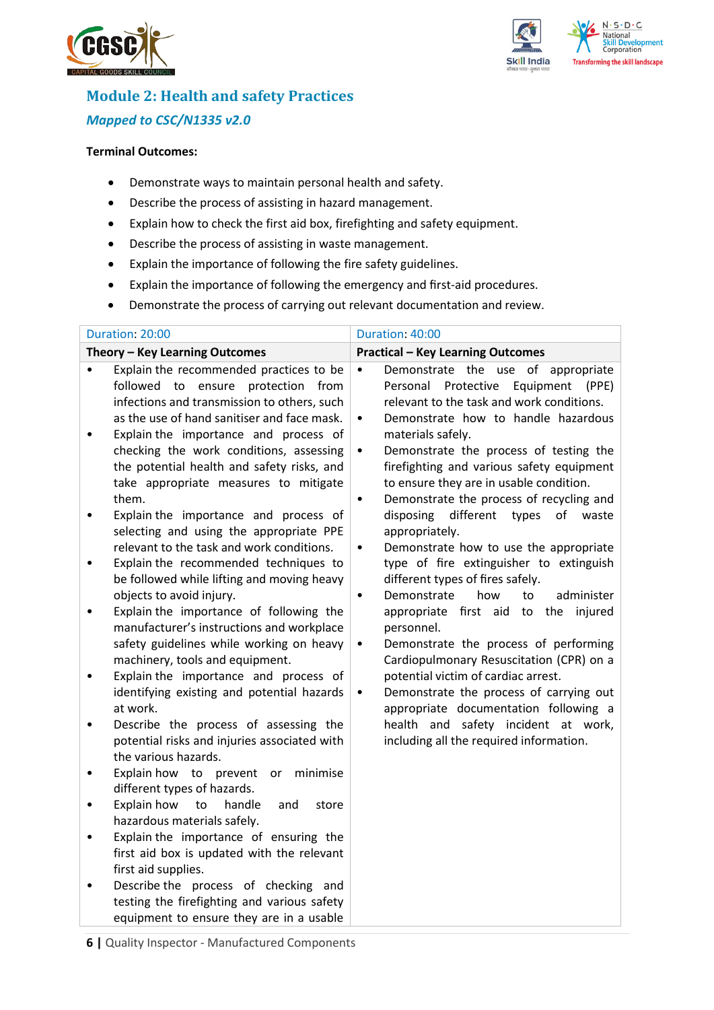



## **Module 2: Health and safety Practices** *Mapped to CSC/N1335 v2.0*

#### **Terminal Outcomes:**

- Demonstrate ways to maintain personal health and safety.
- Describe the process of assisting in hazard management.
- Explain how to check the first aid box, firefighting and safety equipment.
- Describe the process of assisting in waste management.
- Explain the importance of following the fire safety guidelines.
- Explain the importance of following the emergency and first-aid procedures.
- Demonstrate the process of carrying out relevant documentation and review.

| Duration: 20:00                                                                                                                                                                                                                                                                                                                                                                                                                                                                                                                                                                                                                                                                                                                                                                                                                                                                                                                                                                                                                                                                                                                                                                                                                                                                                                                                                                                                                                                                                                                                             | Duration: 40:00                                                                                                                                                                                                                                                                                                                                                                                                                                                                                                                                                                                                                                                                                                                                                                                                                                                                                                                                                                                                                                             |  |  |  |
|-------------------------------------------------------------------------------------------------------------------------------------------------------------------------------------------------------------------------------------------------------------------------------------------------------------------------------------------------------------------------------------------------------------------------------------------------------------------------------------------------------------------------------------------------------------------------------------------------------------------------------------------------------------------------------------------------------------------------------------------------------------------------------------------------------------------------------------------------------------------------------------------------------------------------------------------------------------------------------------------------------------------------------------------------------------------------------------------------------------------------------------------------------------------------------------------------------------------------------------------------------------------------------------------------------------------------------------------------------------------------------------------------------------------------------------------------------------------------------------------------------------------------------------------------------------|-------------------------------------------------------------------------------------------------------------------------------------------------------------------------------------------------------------------------------------------------------------------------------------------------------------------------------------------------------------------------------------------------------------------------------------------------------------------------------------------------------------------------------------------------------------------------------------------------------------------------------------------------------------------------------------------------------------------------------------------------------------------------------------------------------------------------------------------------------------------------------------------------------------------------------------------------------------------------------------------------------------------------------------------------------------|--|--|--|
| Theory - Key Learning Outcomes                                                                                                                                                                                                                                                                                                                                                                                                                                                                                                                                                                                                                                                                                                                                                                                                                                                                                                                                                                                                                                                                                                                                                                                                                                                                                                                                                                                                                                                                                                                              | <b>Practical - Key Learning Outcomes</b>                                                                                                                                                                                                                                                                                                                                                                                                                                                                                                                                                                                                                                                                                                                                                                                                                                                                                                                                                                                                                    |  |  |  |
| Explain the recommended practices to be<br>$\bullet$<br>followed to<br>ensure protection from<br>infections and transmission to others, such<br>as the use of hand sanitiser and face mask.<br>Explain the importance and process of<br>$\bullet$<br>checking the work conditions, assessing<br>the potential health and safety risks, and<br>take appropriate measures to mitigate<br>them.<br>Explain the importance and process of<br>٠<br>selecting and using the appropriate PPE<br>relevant to the task and work conditions.<br>Explain the recommended techniques to<br>٠<br>be followed while lifting and moving heavy<br>objects to avoid injury.<br>Explain the importance of following the<br>$\bullet$<br>manufacturer's instructions and workplace<br>safety guidelines while working on heavy<br>machinery, tools and equipment.<br>Explain the importance and process of<br>$\bullet$<br>identifying existing and potential hazards<br>at work.<br>Describe the process of assessing the<br>$\bullet$<br>potential risks and injuries associated with<br>the various hazards.<br>Explain how to prevent<br>or<br>minimise<br>$\bullet$<br>different types of hazards.<br>Explain how<br>handle<br>to<br>and<br>store<br>$\bullet$<br>hazardous materials safely.<br>Explain the importance of ensuring the<br>$\bullet$<br>first aid box is updated with the relevant<br>first aid supplies.<br>Describe the process of checking and<br>$\bullet$<br>testing the firefighting and various safety<br>equipment to ensure they are in a usable | Demonstrate the use of appropriate<br>$\bullet$<br>Protective<br>Equipment<br>Personal<br>(PPE)<br>relevant to the task and work conditions.<br>Demonstrate how to handle hazardous<br>$\bullet$<br>materials safely.<br>Demonstrate the process of testing the<br>$\bullet$<br>firefighting and various safety equipment<br>to ensure they are in usable condition.<br>Demonstrate the process of recycling and<br>different<br>disposing<br>types<br>of<br>waste<br>appropriately.<br>Demonstrate how to use the appropriate<br>$\bullet$<br>type of fire extinguisher to extinguish<br>different types of fires safely.<br>how<br>administer<br>Demonstrate<br>to<br>$\bullet$<br>appropriate first aid to the injured<br>personnel.<br>Demonstrate the process of performing<br>٠<br>Cardiopulmonary Resuscitation (CPR) on a<br>potential victim of cardiac arrest.<br>Demonstrate the process of carrying out<br>$\bullet$<br>appropriate documentation following a<br>health and safety incident at work,<br>including all the required information. |  |  |  |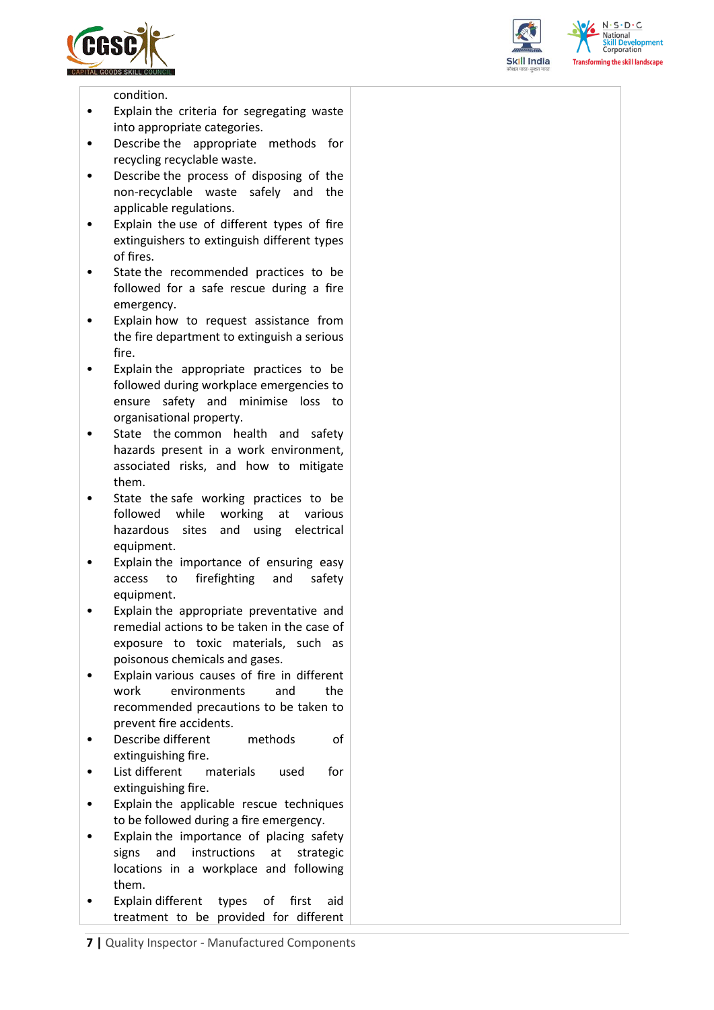





condition.

- Explain the criteria for segregating waste into appropriate categories.
- Describe the appropriate methods for recycling recyclable waste.
- Describe the process of disposing of the non-recyclable waste safely and the applicable regulations.
- Explain the use of different types of fire extinguishers to extinguish different types of fires.
- State the recommended practices to be followed for a safe rescue during a fire emergency.
- Explain how to request assistance from the fire department to extinguish a serious fire.
- Explain the appropriate practices to be followed during workplace emergencies to ensure safety and minimise loss to organisational property.
- State the common health and safety hazards present in a work environment, associated risks, and how to mitigate them.
- State the safe working practices to be followed while working at various hazardous sites and using electrical equipment.
- Explain the importance of ensuring easy access to firefighting and safety equipment.
- Explain the appropriate preventative and remedial actions to be taken in the case of exposure to toxic materials, such as poisonous chemicals and gases.
- Explain various causes of fire in different work environments and the recommended precautions to be taken to prevent fire accidents.
- Describe different methods of extinguishing fire.
- List different materials used for extinguishing fire.
- Explain the applicable rescue techniques to be followed during a fire emergency.
- Explain the importance of placing safety signs and instructions at strategic locations in a workplace and following them.
- Explain different types of first aid treatment to be provided for different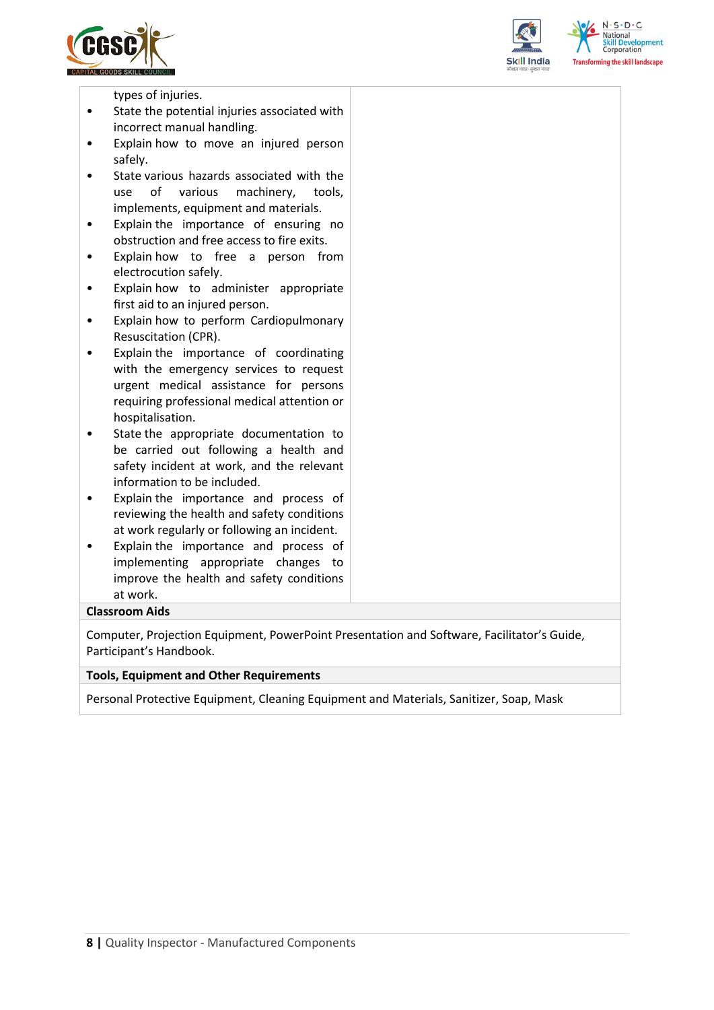



 $N \cdot S \cdot D \cdot C$ sforming the skill landscape

types of injuries.

- State the potential injuries associated with incorrect manual handling.
- Explain how to move an injured person safely.
- State various hazards associated with the use of various machinery, tools, implements, equipment and materials.
- Explain the importance of ensuring no obstruction and free access to fire exits.
- Explain how to free a person from electrocution safely.
- Explain how to administer appropriate first aid to an injured person.
- Explain how to perform Cardiopulmonary Resuscitation (CPR).
- Explain the importance of coordinating with the emergency services to request urgent medical assistance for persons requiring professional medical attention or hospitalisation.
- State the appropriate documentation to be carried out following a health and safety incident at work, and the relevant information to be included.
- Explain the importance and process of reviewing the health and safety conditions at work regularly or following an incident.
- Explain the importance and process of implementing appropriate changes to improve the health and safety conditions at work.

### **Classroom Aids**

Computer, Projection Equipment, PowerPoint Presentation and Software, Facilitator's Guide, Participant's Handbook.

#### **Tools, Equipment and Other Requirements**

Personal Protective Equipment, Cleaning Equipment and Materials, Sanitizer, Soap, Mask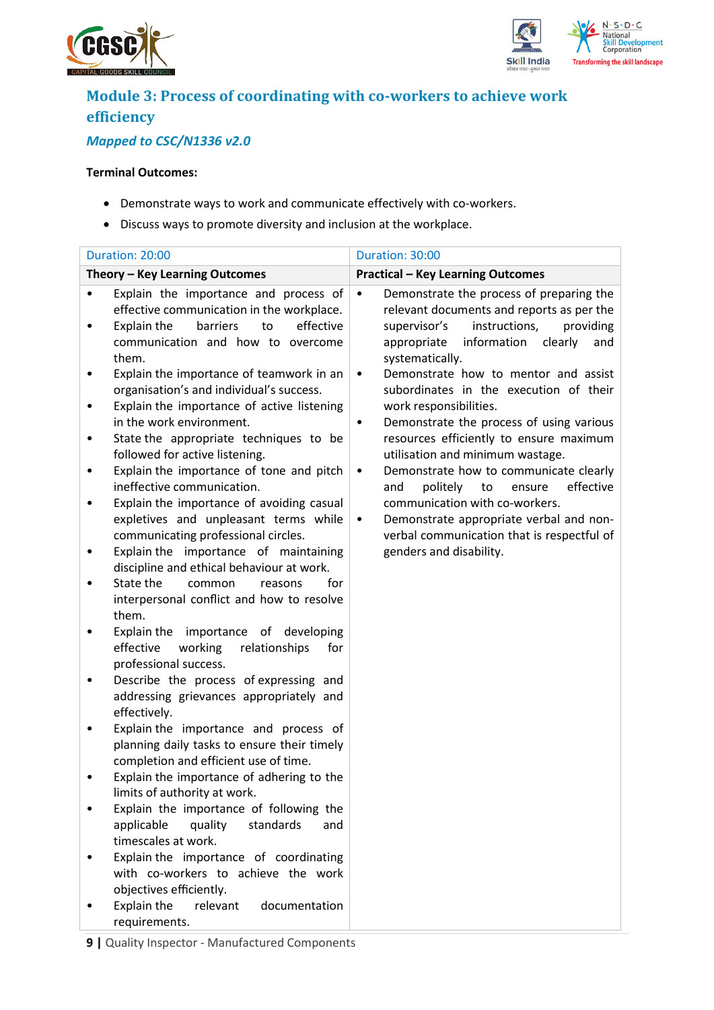



# **Module 3: Process of coordinating with co-workers to achieve work efficiency**

### *Mapped to CSC/N1336 v2.0*

### **Terminal Outcomes:**

- Demonstrate ways to work and communicate effectively with co-workers.
- Discuss ways to promote diversity and inclusion at the workplace.

|        | Duration: 20:00                                                                                                                                                                | Duration: 30:00                                                                                                                                                                                                     |
|--------|--------------------------------------------------------------------------------------------------------------------------------------------------------------------------------|---------------------------------------------------------------------------------------------------------------------------------------------------------------------------------------------------------------------|
|        | Theory - Key Learning Outcomes                                                                                                                                                 | <b>Practical - Key Learning Outcomes</b>                                                                                                                                                                            |
|        | Explain the importance and process of<br>effective communication in the workplace.<br>to<br>effective<br>Explain the<br>barriers<br>communication and how to overcome<br>them. | Demonstrate the process of preparing the<br>$\bullet$<br>relevant documents and reports as per the<br>instructions,<br>providing<br>supervisor's<br>information<br>appropriate<br>clearly<br>and<br>systematically. |
| ٠      | Explain the importance of teamwork in an<br>organisation's and individual's success.<br>Explain the importance of active listening                                             | Demonstrate how to mentor and assist<br>$\bullet$<br>subordinates in the execution of their<br>work responsibilities.                                                                                               |
| ٠<br>٠ | in the work environment.<br>State the appropriate techniques to be<br>followed for active listening.<br>Explain the importance of tone and pitch                               | Demonstrate the process of using various<br>٠<br>resources efficiently to ensure maximum<br>utilisation and minimum wastage.<br>Demonstrate how to communicate clearly<br>$\bullet$                                 |
|        | ineffective communication.<br>Explain the importance of avoiding casual<br>expletives and unpleasant terms while                                                               | politely<br>to<br>ensure<br>effective<br>and<br>communication with co-workers.<br>Demonstrate appropriate verbal and non-<br>$\bullet$                                                                              |
|        | communicating professional circles.<br>Explain the importance of maintaining<br>discipline and ethical behaviour at work.<br>State the<br>for<br>common<br>reasons             | verbal communication that is respectful of<br>genders and disability.                                                                                                                                               |
|        | interpersonal conflict and how to resolve<br>them.<br>Explain the importance of developing                                                                                     |                                                                                                                                                                                                                     |
| ٠      | effective<br>working<br>relationships<br>for<br>professional success.<br>Describe the process of expressing and                                                                |                                                                                                                                                                                                                     |
|        | addressing grievances appropriately and<br>effectively.                                                                                                                        |                                                                                                                                                                                                                     |
|        | Explain the importance and process of<br>planning daily tasks to ensure their timely<br>completion and efficient use of time.                                                  |                                                                                                                                                                                                                     |
|        | Explain the importance of adhering to the<br>limits of authority at work.                                                                                                      |                                                                                                                                                                                                                     |
|        | Explain the importance of following the<br>quality<br>applicable<br>standards<br>and<br>timescales at work.                                                                    |                                                                                                                                                                                                                     |
|        | Explain the importance of coordinating<br>with co-workers to achieve the work<br>objectives efficiently.                                                                       |                                                                                                                                                                                                                     |
|        | Explain the<br>relevant<br>documentation<br>requirements.                                                                                                                      |                                                                                                                                                                                                                     |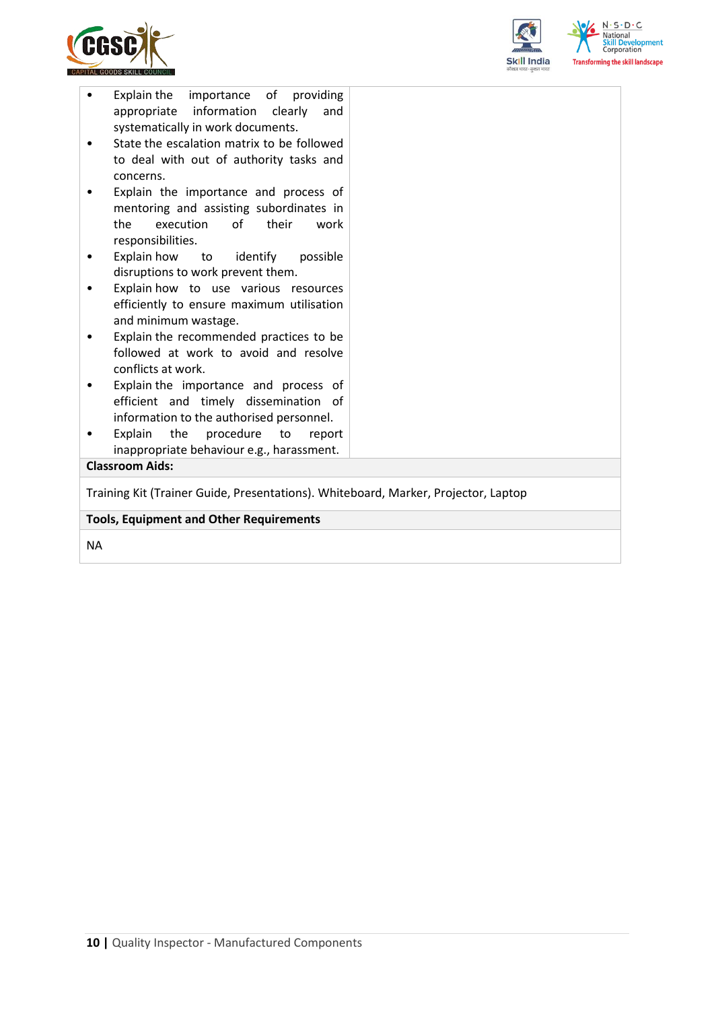



| Explain the importance of providing<br>appropriate information clearly<br>and<br>systematically in work documents.<br>State the escalation matrix to be followed<br>to deal with out of authority tasks and<br>concerns.<br>Explain the importance and process of<br>mentoring and assisting subordinates in<br>execution<br>of<br>their<br>the<br>work |  |  |  |  |
|---------------------------------------------------------------------------------------------------------------------------------------------------------------------------------------------------------------------------------------------------------------------------------------------------------------------------------------------------------|--|--|--|--|
| responsibilities.                                                                                                                                                                                                                                                                                                                                       |  |  |  |  |
|                                                                                                                                                                                                                                                                                                                                                         |  |  |  |  |
| Explain how<br>to identify<br>possible                                                                                                                                                                                                                                                                                                                  |  |  |  |  |
| disruptions to work prevent them.                                                                                                                                                                                                                                                                                                                       |  |  |  |  |
| Explain how to use various resources                                                                                                                                                                                                                                                                                                                    |  |  |  |  |
| efficiently to ensure maximum utilisation                                                                                                                                                                                                                                                                                                               |  |  |  |  |
| and minimum wastage.                                                                                                                                                                                                                                                                                                                                    |  |  |  |  |
| Explain the recommended practices to be                                                                                                                                                                                                                                                                                                                 |  |  |  |  |
| followed at work to avoid and resolve                                                                                                                                                                                                                                                                                                                   |  |  |  |  |
| conflicts at work.                                                                                                                                                                                                                                                                                                                                      |  |  |  |  |
| Explain the importance and process of                                                                                                                                                                                                                                                                                                                   |  |  |  |  |
| efficient and timely dissemination of                                                                                                                                                                                                                                                                                                                   |  |  |  |  |
| information to the authorised personnel.                                                                                                                                                                                                                                                                                                                |  |  |  |  |
| Explain<br>the<br>procedure<br>to<br>report<br>$\bullet$                                                                                                                                                                                                                                                                                                |  |  |  |  |
| inappropriate behaviour e.g., harassment.                                                                                                                                                                                                                                                                                                               |  |  |  |  |
| <b>Classroom Aids:</b>                                                                                                                                                                                                                                                                                                                                  |  |  |  |  |
|                                                                                                                                                                                                                                                                                                                                                         |  |  |  |  |
| Training Kit (Trainer Guide, Presentations). Whiteboard, Marker, Projector, Laptop                                                                                                                                                                                                                                                                      |  |  |  |  |
| <b>Tools, Equipment and Other Requirements</b>                                                                                                                                                                                                                                                                                                          |  |  |  |  |
|                                                                                                                                                                                                                                                                                                                                                         |  |  |  |  |

NA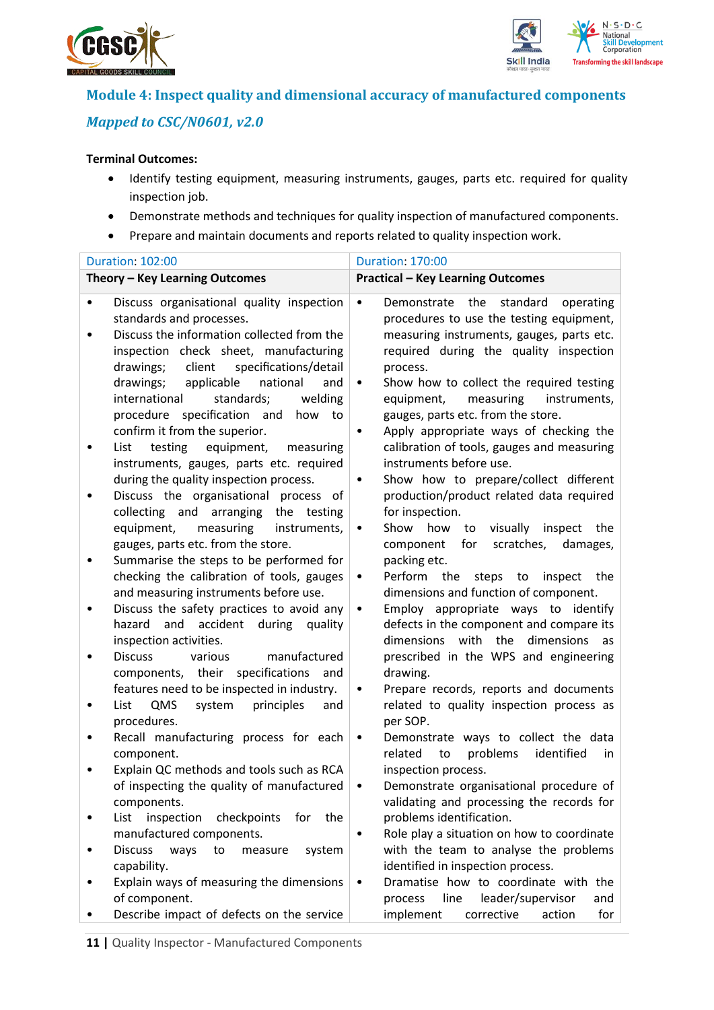



## **Module 4: Inspect quality and dimensional accuracy of manufactured components** *Mapped to CSC/N0601, v2.0*

### **Terminal Outcomes:**

- Identify testing equipment, measuring instruments, gauges, parts etc. required for quality inspection job.
- Demonstrate methods and techniques for quality inspection of manufactured components.
- Prepare and maintain documents and reports related to quality inspection work.

| <b>Duration: 102:00</b>                                                                                                                                                                                                                                                                                                                          | <b>Duration: 170:00</b>                                                                                                                                                                                                                                                                                                                   |  |  |  |
|--------------------------------------------------------------------------------------------------------------------------------------------------------------------------------------------------------------------------------------------------------------------------------------------------------------------------------------------------|-------------------------------------------------------------------------------------------------------------------------------------------------------------------------------------------------------------------------------------------------------------------------------------------------------------------------------------------|--|--|--|
| Theory - Key Learning Outcomes                                                                                                                                                                                                                                                                                                                   | <b>Practical - Key Learning Outcomes</b>                                                                                                                                                                                                                                                                                                  |  |  |  |
| Discuss organisational quality inspection<br>standards and processes.<br>Discuss the information collected from the<br>inspection check sheet, manufacturing<br>specifications/detail<br>drawings;<br>client<br>applicable<br>national<br>drawings;<br>and<br>international<br>standards;<br>welding<br>procedure specification and<br>how<br>to | the<br>standard<br>$\bullet$<br>Demonstrate<br>operating<br>procedures to use the testing equipment,<br>measuring instruments, gauges, parts etc.<br>required during the quality inspection<br>process.<br>Show how to collect the required testing<br>٠<br>equipment,<br>measuring<br>instruments,<br>gauges, parts etc. from the store. |  |  |  |
| confirm it from the superior.<br>equipment,<br>List<br>testing<br>measuring<br>instruments, gauges, parts etc. required<br>during the quality inspection process.                                                                                                                                                                                | Apply appropriate ways of checking the<br>$\bullet$<br>calibration of tools, gauges and measuring<br>instruments before use.<br>Show how to prepare/collect different<br>$\bullet$                                                                                                                                                        |  |  |  |
| Discuss the organisational process of<br>collecting and arranging<br>the testing<br>equipment,<br>measuring<br>instruments,                                                                                                                                                                                                                      | production/product related data required<br>for inspection.<br>visually<br>Show<br>how<br>inspect<br>to<br>the<br>$\bullet$                                                                                                                                                                                                               |  |  |  |
| gauges, parts etc. from the store.<br>Summarise the steps to be performed for<br>checking the calibration of tools, gauges                                                                                                                                                                                                                       | scratches,<br>for<br>damages,<br>component<br>packing etc.<br>Perform the<br>steps<br>inspect<br>the<br>to<br>$\bullet$                                                                                                                                                                                                                   |  |  |  |
| and measuring instruments before use.<br>Discuss the safety practices to avoid any<br>and<br>accident<br>during quality<br>hazard                                                                                                                                                                                                                | dimensions and function of component.<br>Employ appropriate ways to identify<br>$\bullet$<br>defects in the component and compare its<br>dimensions with the<br>dimensions                                                                                                                                                                |  |  |  |
| inspection activities.<br><b>Discuss</b><br>various<br>manufactured<br>components, their<br>specifications<br>and<br>features need to be inspected in industry.                                                                                                                                                                                  | as<br>prescribed in the WPS and engineering<br>drawing.<br>Prepare records, reports and documents<br>٠                                                                                                                                                                                                                                    |  |  |  |
| QMS<br>principles<br>List<br>system<br>and<br>procedures.                                                                                                                                                                                                                                                                                        | related to quality inspection process as<br>per SOP.                                                                                                                                                                                                                                                                                      |  |  |  |
| Recall manufacturing process for each<br>component.                                                                                                                                                                                                                                                                                              | Demonstrate ways to collect the data<br>$\bullet$<br>problems<br>identified<br>related<br>to<br>in                                                                                                                                                                                                                                        |  |  |  |
| Explain QC methods and tools such as RCA<br>of inspecting the quality of manufactured<br>components.                                                                                                                                                                                                                                             | inspection process.<br>Demonstrate organisational procedure of<br>validating and processing the records for                                                                                                                                                                                                                               |  |  |  |
| inspection<br>List<br>checkpoints<br>for<br>the<br>manufactured components.                                                                                                                                                                                                                                                                      | problems identification.<br>Role play a situation on how to coordinate<br>٠                                                                                                                                                                                                                                                               |  |  |  |
| <b>Discuss</b><br>ways<br>to<br>system<br>measure<br>capability.                                                                                                                                                                                                                                                                                 | with the team to analyse the problems<br>identified in inspection process.                                                                                                                                                                                                                                                                |  |  |  |
| Explain ways of measuring the dimensions<br>of component.<br>Describe impact of defects on the service                                                                                                                                                                                                                                           | Dramatise how to coordinate with the<br>$\bullet$<br>leader/supervisor<br>line<br>process<br>and<br>implement<br>corrective<br>for<br>action                                                                                                                                                                                              |  |  |  |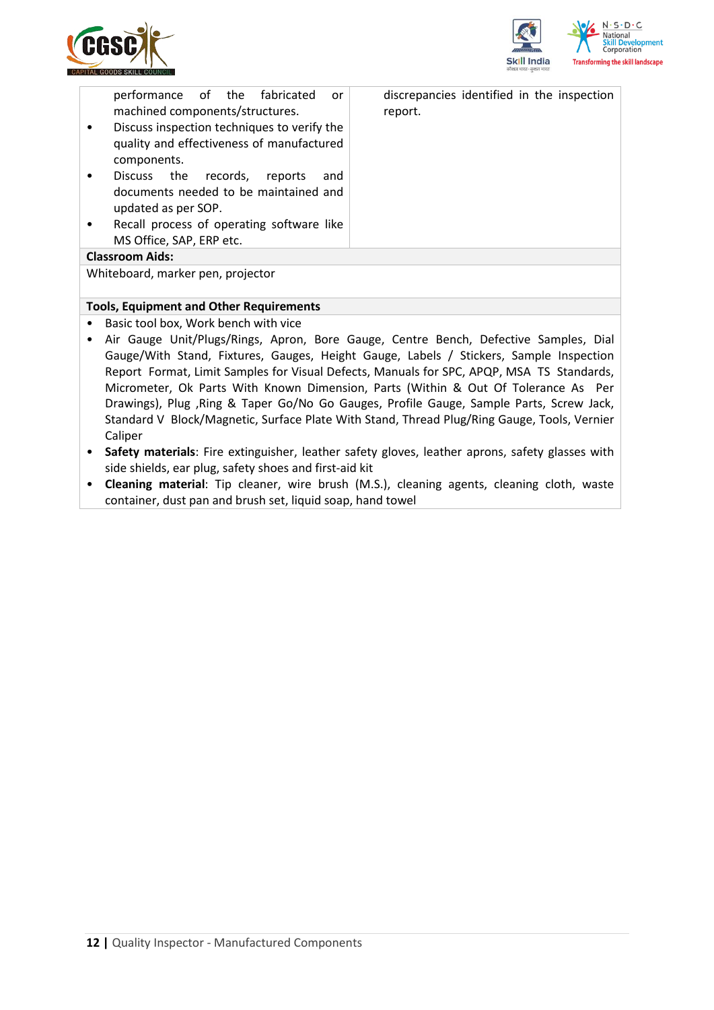



| performance of the fabricated<br><b>or</b><br>machined components/structures.<br>Discuss inspection techniques to verify the<br>quality and effectiveness of manufactured<br>components.<br>Discuss the records,<br>reports<br>and<br>documents needed to be maintained and<br>updated as per SOP.<br>Recall process of operating software like<br>MS Office, SAP, ERP etc. | discrepancies identified in the inspection<br>report. |
|-----------------------------------------------------------------------------------------------------------------------------------------------------------------------------------------------------------------------------------------------------------------------------------------------------------------------------------------------------------------------------|-------------------------------------------------------|
| <b>Classroom Aids:</b>                                                                                                                                                                                                                                                                                                                                                      |                                                       |
| Whiteboard, marker pen, projector                                                                                                                                                                                                                                                                                                                                           |                                                       |

#### **Tools, Equipment and Other Requirements**

- Basic tool box, Work bench with vice
- Air Gauge Unit/Plugs/Rings, Apron, Bore Gauge, Centre Bench, Defective Samples, Dial Gauge/With Stand, Fixtures, Gauges, Height Gauge, Labels / Stickers, Sample Inspection Report Format, Limit Samples for Visual Defects, Manuals for SPC, APQP, MSA TS Standards, Micrometer, Ok Parts With Known Dimension, Parts (Within & Out Of Tolerance As Per Drawings), Plug ,Ring & Taper Go/No Go Gauges, Profile Gauge, Sample Parts, Screw Jack, Standard V Block/Magnetic, Surface Plate With Stand, Thread Plug/Ring Gauge, Tools, Vernier Caliper
- **Safety materials**: Fire extinguisher, leather safety gloves, leather aprons, safety glasses with side shields, ear plug, safety shoes and first-aid kit
- **Cleaning material**: Tip cleaner, wire brush (M.S.), cleaning agents, cleaning cloth, waste container, dust pan and brush set, liquid soap, hand towel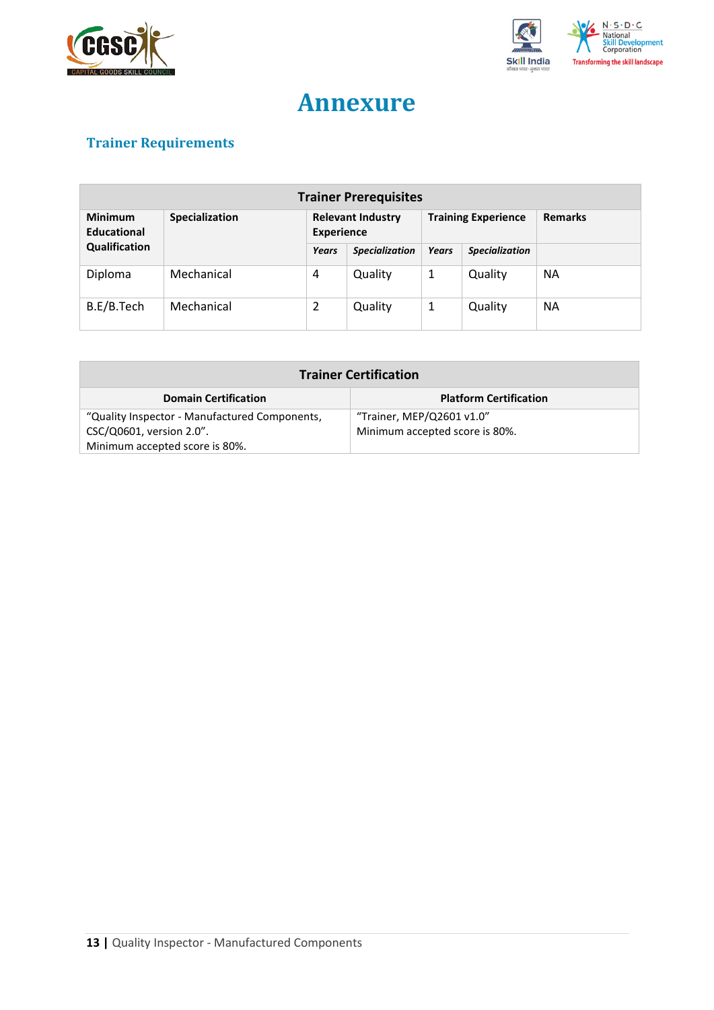



# **Annexure**

## <span id="page-12-0"></span>**Trainer Requirements**

| <b>Trainer Prerequisites</b>         |                |                                               |                       |                            |                       |                |
|--------------------------------------|----------------|-----------------------------------------------|-----------------------|----------------------------|-----------------------|----------------|
| <b>Minimum</b><br><b>Educational</b> | Specialization | <b>Relevant Industry</b><br><b>Experience</b> |                       | <b>Training Experience</b> |                       | <b>Remarks</b> |
| Qualification                        |                | Years                                         | <b>Specialization</b> | <b>Years</b>               | <b>Specialization</b> |                |
| Diploma                              | Mechanical     | 4                                             | Quality               | 1                          | Quality               | <b>NA</b>      |
| B.E/B.Tech                           | Mechanical     | 2                                             | Quality               | 1                          | Quality               | <b>NA</b>      |

| <b>Trainer Certification</b>                                 |                                |  |  |  |
|--------------------------------------------------------------|--------------------------------|--|--|--|
| <b>Platform Certification</b><br><b>Domain Certification</b> |                                |  |  |  |
| "Quality Inspector - Manufactured Components,                | "Trainer, MEP/Q2601 v1.0"      |  |  |  |
| CSC/Q0601, version 2.0".                                     | Minimum accepted score is 80%. |  |  |  |
| Minimum accepted score is 80%.                               |                                |  |  |  |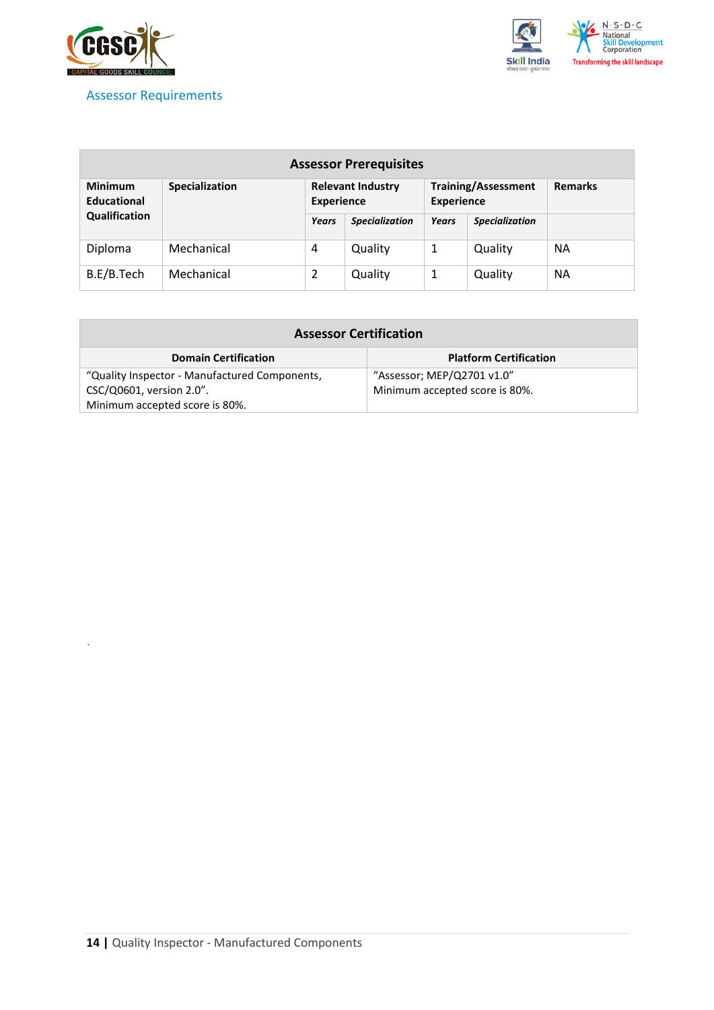

*`*

<span id="page-13-0"></span>



| <b>Assessor Prerequisites</b>                                                      |            |                          |                                                 |       |                       |           |
|------------------------------------------------------------------------------------|------------|--------------------------|-------------------------------------------------|-------|-----------------------|-----------|
| <b>Minimum</b><br><b>Specialization</b><br><b>Educational</b><br><b>Experience</b> |            | <b>Relevant Industry</b> | <b>Training/Assessment</b><br><b>Experience</b> |       | <b>Remarks</b>        |           |
| Qualification                                                                      |            | Years                    | <b>Specialization</b>                           | Years | <b>Specialization</b> |           |
| Diploma                                                                            | Mechanical | 4                        | Quality                                         | 1     | Quality               | <b>NA</b> |
| B.E/B.Tech                                                                         | Mechanical | 2                        | Quality                                         | 1     | Quality               | <b>NA</b> |

| <b>Assessor Certification</b>                 |                                |
|-----------------------------------------------|--------------------------------|
| <b>Domain Certification</b>                   | <b>Platform Certification</b>  |
| "Quality Inspector - Manufactured Components, | "Assessor; MEP/Q2701 v1.0"     |
| CSC/Q0601, version 2.0".                      | Minimum accepted score is 80%. |
| Minimum accepted score is 80%.                |                                |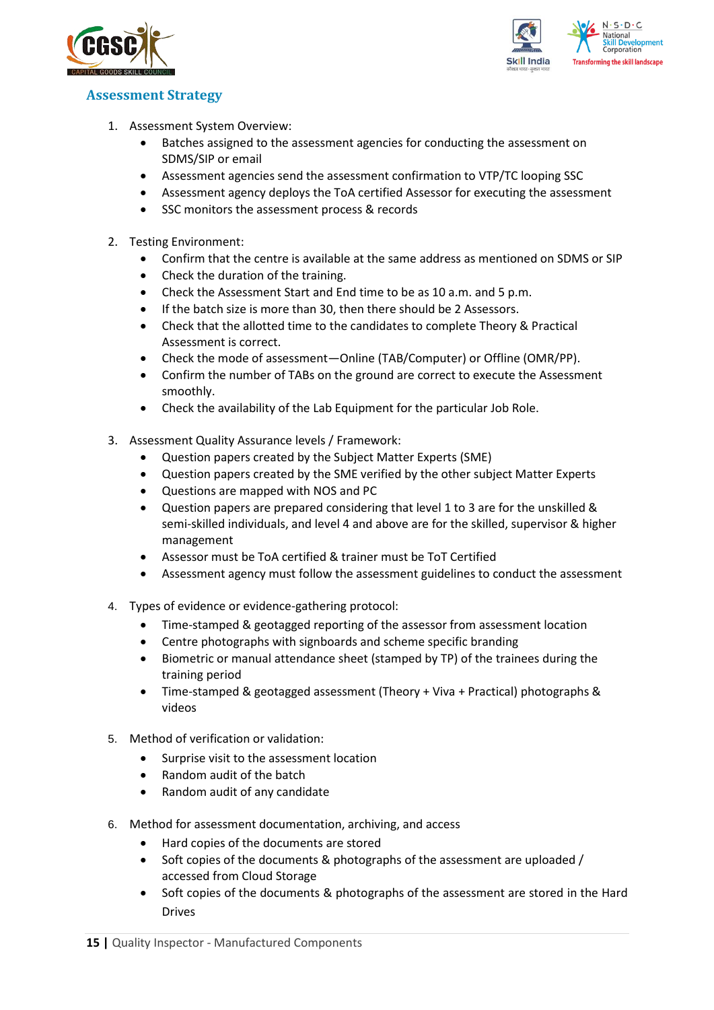



### <span id="page-14-0"></span>**Assessment Strategy**

- 1. Assessment System Overview:
	- Batches assigned to the assessment agencies for conducting the assessment on SDMS/SIP or email
	- Assessment agencies send the assessment confirmation to VTP/TC looping SSC
	- Assessment agency deploys the ToA certified Assessor for executing the assessment
	- SSC monitors the assessment process & records
- 2. Testing Environment:
	- Confirm that the centre is available at the same address as mentioned on SDMS or SIP
	- Check the duration of the training.
	- Check the Assessment Start and End time to be as 10 a.m. and 5 p.m.
	- If the batch size is more than 30, then there should be 2 Assessors.
	- Check that the allotted time to the candidates to complete Theory & Practical Assessment is correct.
	- Check the mode of assessment—Online (TAB/Computer) or Offline (OMR/PP).
	- Confirm the number of TABs on the ground are correct to execute the Assessment smoothly.
	- Check the availability of the Lab Equipment for the particular Job Role.
- 3. Assessment Quality Assurance levels / Framework:
	- Question papers created by the Subject Matter Experts (SME)
	- Question papers created by the SME verified by the other subject Matter Experts
	- Questions are mapped with NOS and PC
	- Question papers are prepared considering that level 1 to 3 are for the unskilled & semi-skilled individuals, and level 4 and above are for the skilled, supervisor & higher management
	- Assessor must be ToA certified & trainer must be ToT Certified
	- Assessment agency must follow the assessment guidelines to conduct the assessment
- 4. Types of evidence or evidence-gathering protocol:
	- Time-stamped & geotagged reporting of the assessor from assessment location
	- Centre photographs with signboards and scheme specific branding
	- Biometric or manual attendance sheet (stamped by TP) of the trainees during the training period
	- Time-stamped & geotagged assessment (Theory + Viva + Practical) photographs & videos
- 5. Method of verification or validation:
	- Surprise visit to the assessment location
	- Random audit of the batch
	- Random audit of any candidate
- 6. Method for assessment documentation, archiving, and access
	- Hard copies of the documents are stored
	- Soft copies of the documents & photographs of the assessment are uploaded / accessed from Cloud Storage
	- Soft copies of the documents & photographs of the assessment are stored in the Hard Drives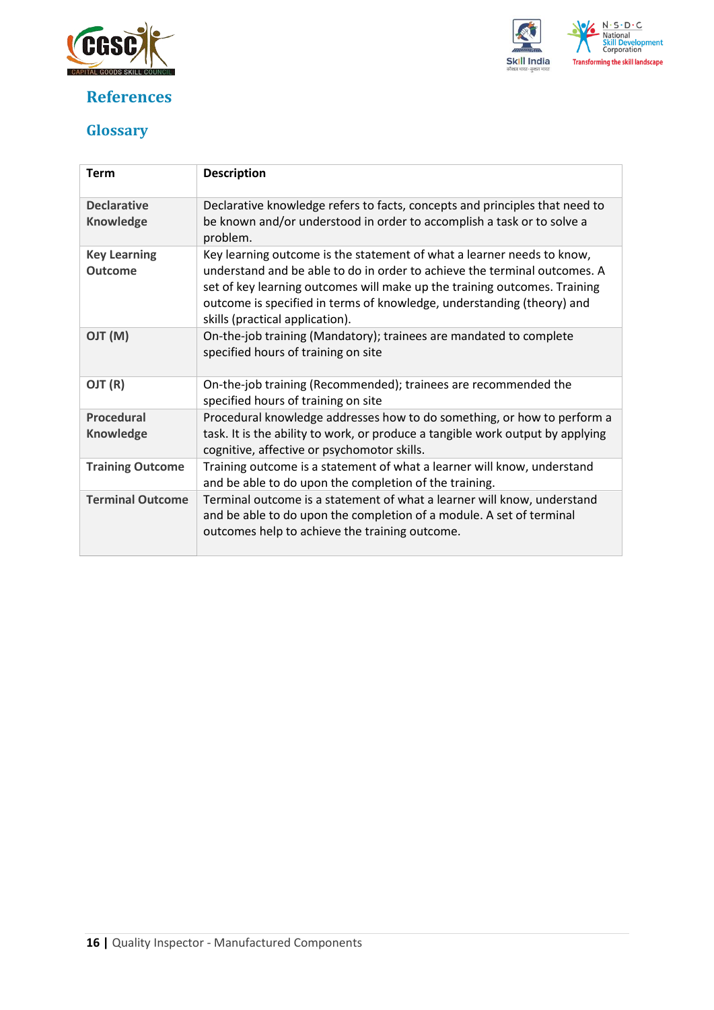

## <span id="page-15-0"></span>**References**



## <span id="page-15-1"></span>**Glossary**

| <b>Term</b>                            | <b>Description</b>                                                                                                                                                                                                                                                                                                                            |
|----------------------------------------|-----------------------------------------------------------------------------------------------------------------------------------------------------------------------------------------------------------------------------------------------------------------------------------------------------------------------------------------------|
| <b>Declarative</b><br><b>Knowledge</b> | Declarative knowledge refers to facts, concepts and principles that need to<br>be known and/or understood in order to accomplish a task or to solve a<br>problem.                                                                                                                                                                             |
| <b>Key Learning</b><br><b>Outcome</b>  | Key learning outcome is the statement of what a learner needs to know,<br>understand and be able to do in order to achieve the terminal outcomes. A<br>set of key learning outcomes will make up the training outcomes. Training<br>outcome is specified in terms of knowledge, understanding (theory) and<br>skills (practical application). |
| (M) TLO                                | On-the-job training (Mandatory); trainees are mandated to complete<br>specified hours of training on site                                                                                                                                                                                                                                     |
| OJT (R)                                | On-the-job training (Recommended); trainees are recommended the<br>specified hours of training on site                                                                                                                                                                                                                                        |
| <b>Procedural</b><br><b>Knowledge</b>  | Procedural knowledge addresses how to do something, or how to perform a<br>task. It is the ability to work, or produce a tangible work output by applying<br>cognitive, affective or psychomotor skills.                                                                                                                                      |
| <b>Training Outcome</b>                | Training outcome is a statement of what a learner will know, understand<br>and be able to do upon the completion of the training.                                                                                                                                                                                                             |
| <b>Terminal Outcome</b>                | Terminal outcome is a statement of what a learner will know, understand<br>and be able to do upon the completion of a module. A set of terminal<br>outcomes help to achieve the training outcome.                                                                                                                                             |